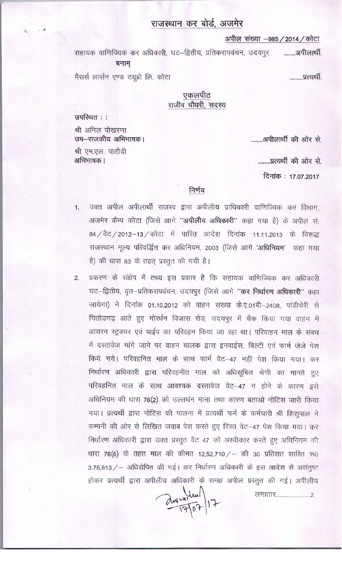# राजस्थान कर बोर्ड, अजमेर

अपील संख्या -985 / 2014 / कोटा

सहायक वाणिज्यिक कर अधिकारी, घट–द्वितीय, प्रतिकरापवंचन, उदयपुर ........आपीलार्थी. बनाम् मैसर्स लार्सन एण्ड टयूब्रो लि. कोटा .........प्रत्यर्थी

### एकलपीठ राजीव चौधरी, सदस्य

उपस्थित ::

श्री अनिल पोखरणा उप-राजकीय अभिभाषक। श्री एम.एल. पाटौदी अभिभाषक ।

.......अपीलार्थी की ओर से.

........प्रत्यर्थी की ओर से.

दिनांक: 17.07.2017

#### निर्णय

- उक्त अपील अपीलार्थी राजस्व द्वारा अपीलीय प्राधिकारी वाणिज्यिक कर विभाग,  $1.$ अजमेर कैम्प कोटा (जिसे आगे "अपीलीय अधिकारी" कहा गया है) के अपील सं. 84 / वैट / 2012-13 / कोटा में पारित आदेश दिनांक 11.11.2013 के विरूद्ध राजस्थान मूल्य परिवर्द्धित कर अधिनियम, 2003 (जिसे आगे 'अधिनियम' कहा गया है) की धारा 83 के तहत् प्रस्तुत की गयी है।
- प्रकरण के संक्षेप में तथ्य इस प्रकार है कि सहायक वाणिज्यिक कर अधिकारी  $2.$ घट-द्वितीय, वृत-प्रतिकरापवंचन, उदयपुर (जिसे आगे "कर निर्धारण अधिकारी" कहा जायेगा) ने दिनांक 01.10.2012 को वाहन संख्या के.ए.01बी-2408, पांडीचेरी से चितोडगढ़ आते हुए गोर्खन विजास रोड, उदयपुर में चैक किया गया वाहन में आयरन स्ट्रक्चर एवं पाईप का परिवहन किया जा रहा था। परिवाहन माल के संबध में दस्तावेज मांगे जाने पर वाहन चालक द्वारा इनवाईस, बिल्टी एवं फार्म जेजे पेश किये गये। परिवहनित माल के साथ फार्म वेट-47 नहीं पेश किया गया। कर निर्धारण अधिकारी द्वारा परिवहनीत माल को अधिसूचित श्रेणी का मानते हुए परिवहनित माल के साथ आवश्यक दस्तावेज वेट-47 न होने के कारण इसे अधिनियम की धारा 76(2) को उल्लघंन माना तथा कारण बताओ नोटिस जारी किया गया। प्रत्यर्थी द्वारा नोटिस की पालना में प्रत्यर्थी फर्म के कर्मचारी श्री शिशुपाल ने कम्पनी की ओर से लिखित जवाब पेश करते हुए रिक्त वेट–47 पेश किया गया। कर निर्धारण अधिकारी द्वारा उक्त प्रस्तुत वैट 47 को अस्वीकार करते हुए अधिनियम की धारा 76(6) के तहत माल की कीमत 12,52,710 / – की 30 प्रतिशत शारित रू0 3,75,813 / - अधिरोपित की गई। कर निर्धारण अधिकारी के इस आदेश से असंतुष्ट होकर प्रत्यर्थी द्वारा अपीलीय अधिकारी के समक्ष अपील प्रस्तुत की गई। अपीलीय

 $\frac{2w - 4}{9107}$  17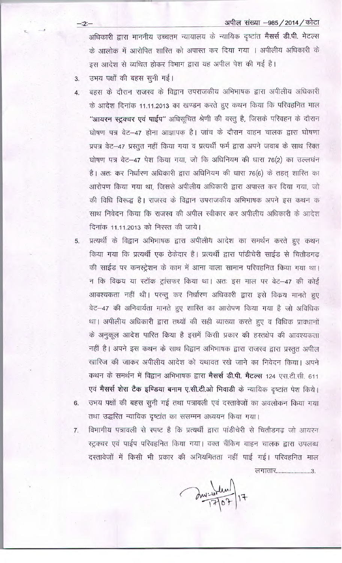अपील संख्या -985 / 2014 / कोटा

अधिकारी द्वारा माननीय उच्चतम न्यायालय के न्यायिक दृष्टांत मैसर्स डी.पी. मेटल्स के आलोक में आरोपित शारित को अपास्त कर दिया गया । अपीलीय अधिकारी के इस आदेश से व्यथित होकर विभाग द्वारा यह अपील पेश की गई है।

उभय पक्षों की बहस सूनी गई। 3.

 $4.$ 

 $-2 -$ 

बहस के दौरान राजस्व के विद्वान उपराजकीय अभिभाषक द्वारा अपीलीय अधिकारी के आदेश दिनांक 11.11.2013 का खण्डन करते हुए कथन किया कि परिवहनित माल "आयरन स्ट्रक्चर एवं पाईप" अधिसूचित श्रेणी की वस्तु है, जिसके परिवहन के दौरान घोषण पत्र वेट-47 होना आज्ञापक है। जांच के दौरान वाहन चालक द्वारा घोषणा प्रपत्र वेट-47 प्रस्तुत नहीं किया गया व प्रत्यर्थी फर्म द्वारा अपने जवाब के साथ रिक्त घोषण पत्र वेट-47 पेश किया गया, जो कि अधिनियम की धारा 76(2) का उल्लघंन है। अतः कर निर्धारण अधिकारी द्वारा अधिनियम की धारा 76(6) के तहत् शारित का आरोपण किया गया था, जिससे अपीलीय अधिकारी द्वारा अपास्त कर दिया गया, जो की विधि विरूद्ध है। राजस्व के विद्वान उपराजकीय अभिभाषक अपने इस कथन क साथ निवेदन किया कि राजस्व की अपील स्वीकार कर अपीलीय अधिकारी के आदेश दिनांक 11.11.2013 को निरस्त की जाये।

प्रत्यर्थी के विद्वान अभिभाषक द्वारा अपीलीय आदेश का समर्थन करते हुए कथन 5. किया गया कि प्रत्यर्थी एक ठेकेदार है। प्रत्यर्थी द्वारा पांडीचेरी साईड से चितौडगढ़ की साईड पर कनस्ट्रेशन के काम में आना वाला सामान परिवहनित किया गया था। न कि विक्रय या स्टॉक ट्रांसफर किया था। अतः इस माल पर वेट-47 की कोई आवश्यकता नहीं थी। परन्तु कर निर्धारण अधिकारी द्वारा इसे विकय मानते हुए वेट-47 की अनिवार्यता मानते हुए शास्ति का आरोपण किया गया है जो अविधिक था। अपीलीय अधिकारी द्वारा तथ्यों की सही व्याख्या करते हुए व विधिक प्रावधानों के अनुकूल आदेश पारित किया है इसमें किसी प्रकार की हस्तक्षेप की आवश्यकता नहीं है। अपने इस कथन के साथ विद्वान अभिभाषक द्वारा राजस्व द्वारा प्रस्तुत अपील खारिज की जाकर अपीलीय आदेश को यथावत रखे जाने का निवेदन किया। अपने कथन के समर्थन में विद्वान अभिभाषक द्वारा मैसर्स डी.पी. मैटल्स 124 एस.टी.सी. 611 एवं मैसर्स शेरा टैक इण्डिया बनाम ए.सी.टी.ओ भिवाडी के न्यायिक दृष्टांत पेश किये। उभय पक्षों की बहस सुनी गई तथा पत्रावली एवं दस्तावेजों का अवलोकन किया गया 6. तथा उद्धरित न्यायिक दृष्टांत का ससम्मन अध्ययन किया गया।

विभागीय पत्रावली से स्पष्ट है कि प्रत्यर्थी द्वारा पांडीचेरी से चितौडगढ़ जो आयरन 7. स्ट्रक्चर एवं पाईप परिवहनित किया गया। वक्त चैंकिग वाहन चालक द्वारा उपलब्ध दस्तावेजों में किसी भी प्रकार की अनियमितता नहीं पाई गई। परिवहनित माल लगातार...........................3.

June 17/07/17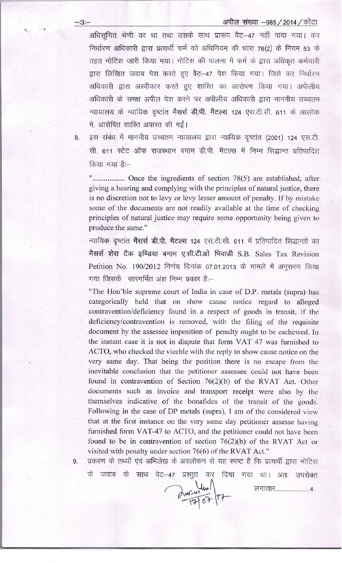### अपील संख्या -985 / 2014 / कोटा

अधिसूचित श्रेणी का था तथा उसके साथ प्रारूप वैट-47 नहीं पाया गया। कर निर्धारण अधिकारी द्वारा प्रत्यर्थी फर्म को अधिनियम की धारा 76(2) के नियम 53 के तहत नोटिस जारी किया गया। नोटिस की पालना में फर्म के द्वारा अधिकृत कर्मचारी द्वारा लिखित जवाब पेश करते हुए वैट-47 पेश किया गया। जिसे कर निर्धारण अधिकारी द्वारा अस्वीकार करते हुए शास्ति का आरोपण किया गया। अपीलीय अधिकारी के समक्ष अपील पेश करने पर अपीलीय अधिकारी द्वारा माननीय उच्चतम न्यायालय के न्यायिक दृष्टांत मैसर्स डी.पी. मैटल्स 124 एस.टी.सी. 611 के आलोक में, आरोपित शास्ति अपास्त की गईं।

8.

 $-3 -$ 

इस संबंध में माननीय उच्चतम न्यायालय द्वारा न्यायिक दृष्टांत (2001) 124 एस.टी. सी. 611 स्टेट ऑफ राजस्थान बनाम डी.पी. मैटल्स में निम्न सिद्धान्त प्रतिपादित किया गया है:--

"................... Once the ingredients of section 78(5) are established, after giving a hearing and complying with the principles of natural justice, there is no discretion not to levy or levy lesser amount of penalty. If by mistake some of the documents are not readily available at the time of checking principles of natural justice may require some opportunity being given to produce the same."

न्यायिक दृष्टांत **मैसर्स डी.पी. मैटल्स** 124 एस.टी.सी. 611 में प्रतिपादित सिद्धान्तों का मैसर्स शेरा टैक इण्डिया बनाम ए.सी.टी.ओ भिवाडी S.B. Sales Tax Revision Petition No. 190/2012 निर्णय दिनांक 07.01.2013 के मामले में अनसरण किया गया ज़िसके सारगर्भित अंश निम्न प्रकार है:--

"The Hon'ble supreme court of India in case of D.P. metals (supra) has categorically held that on show cause notice regard to alleged contravention/deficiency found in a respect of goods in transit, if the deficiency/contravention is removed, with the filing of the requisite document by the assessee imposition of penalty ought to be eschewed. In the instant case it is not in dispute that form VAT 47 was furnished to ACTO, who checked the viechle with the reply to show cause notice on the very same day. That being the position there is no escape from the inevitable conclusion that the petitioner assessee could not have been found in contravention of Section 76(2)(b) of the RVAT Act. Other documents such as invoice and transport receipt were also by the themselves indicative of the bonafides of the transit of the goods. Following in the case of DP metals (supra), I am of the considered view that at the first instance on the very same day petitioner assesse having furnished form VAT-47 to ACTO, and the petitioner could not have been found to be in contravention of section  $76(2)(b)$  of the RVAT Act or visited with penalty under section 76(6) of the RVAT Act."

प्रकरण के तथ्यों एवं अभिलेख के अवलोकन से यह स्पष्ट है कि प्रत्यर्थी द्वारा नोटिस 9.

के जवाब के साथ वेट-47 प्रस्तुत कर दिया गया था। अतः उपरोक्त

animaling